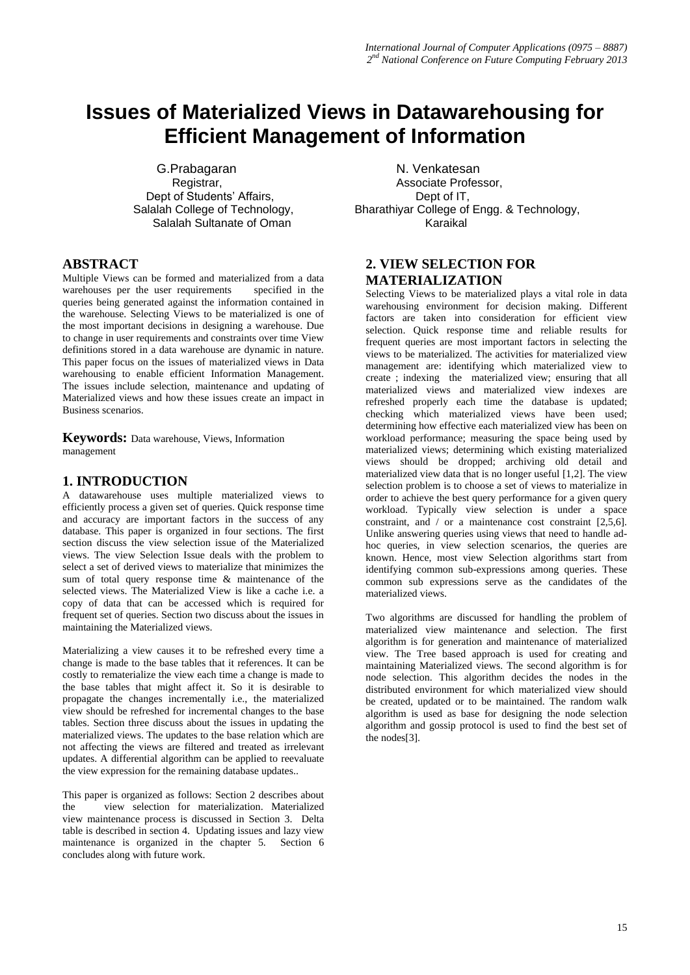# **Issues of Materialized Views in Datawarehousing for Efficient Management of Information**

G.Prabagaran N. Venkatesan Dept of Students' Affairs,<br>Salalah College of Technology, Salalah Sultanate of Oman

## **ABSTRACT**

Multiple Views can be formed and materialized from a data warehouses per the user requirements specified in the queries being generated against the information contained in the warehouse. Selecting Views to be materialized is one of the most important decisions in designing a warehouse. Due to change in user requirements and constraints over time View definitions stored in a data warehouse are dynamic in nature. This paper focus on the issues of materialized views in Data warehousing to enable efficient Information Management. The issues include selection, maintenance and updating of Materialized views and how these issues create an impact in Business scenarios.

**Keywords:** Data warehouse, Views, Information management

## **1. INTRODUCTION**

A datawarehouse uses multiple materialized views to efficiently process a given set of queries. Quick response time and accuracy are important factors in the success of any database. This paper is organized in four sections. The first section discuss the view selection issue of the Materialized views. The view Selection Issue deals with the problem to select a set of derived views to materialize that minimizes the sum of total query response time & maintenance of the selected views. The Materialized View is like a cache i.e. a copy of data that can be accessed which is required for frequent set of queries. Section two discuss about the issues in maintaining the Materialized views.

Materializing a view causes it to be refreshed every time a change is made to the base tables that it references. It can be costly to rematerialize the view each time a change is made to the base tables that might affect it. So it is desirable to propagate the changes incrementally i.e., the materialized view should be refreshed for incremental changes to the base tables. Section three discuss about the issues in updating the materialized views. The updates to the base relation which are not affecting the views are filtered and treated as irrelevant updates. A differential algorithm can be applied to reevaluate the view expression for the remaining database updates..

This paper is organized as follows: Section 2 describes about the view selection for materialization. Materialized view maintenance process is discussed in Section 3. Delta table is described in section 4. Updating issues and lazy view maintenance is organized in the chapter 5. Section 6 concludes along with future work.

Registrar, Registrar, Associate Professor, Associate Professor, Calculate Professor, Calculate Professor, Bharathiyar College of Engg. & Technology,<br>Karaikal

## **2. VIEW SELECTION FOR MATERIALIZATION**

Selecting Views to be materialized plays a vital role in data warehousing environment for decision making. Different factors are taken into consideration for efficient view selection. Quick response time and reliable results for frequent queries are most important factors in selecting the views to be materialized. The activities for materialized view management are: identifying which materialized view to create ; indexing the materialized view; ensuring that all materialized views and materialized view indexes are refreshed properly each time the database is updated; checking which materialized views have been used; determining how effective each materialized view has been on workload performance; measuring the space being used by materialized views; determining which existing materialized views should be dropped; archiving old detail and materialized view data that is no longer useful [1,2]. The view selection problem is to choose a set of views to materialize in order to achieve the best query performance for a given query workload. Typically view selection is under a space constraint, and / or a maintenance cost constraint [2,5,6]. Unlike answering queries using views that need to handle adhoc queries, in view selection scenarios, the queries are known. Hence, most view Selection algorithms start from identifying common sub-expressions among queries. These common sub expressions serve as the candidates of the materialized views.

Two algorithms are discussed for handling the problem of materialized view maintenance and selection. The first algorithm is for generation and maintenance of materialized view. The Tree based approach is used for creating and maintaining Materialized views. The second algorithm is for node selection. This algorithm decides the nodes in the distributed environment for which materialized view should be created, updated or to be maintained. The random walk algorithm is used as base for designing the node selection algorithm and gossip protocol is used to find the best set of the nodes[3].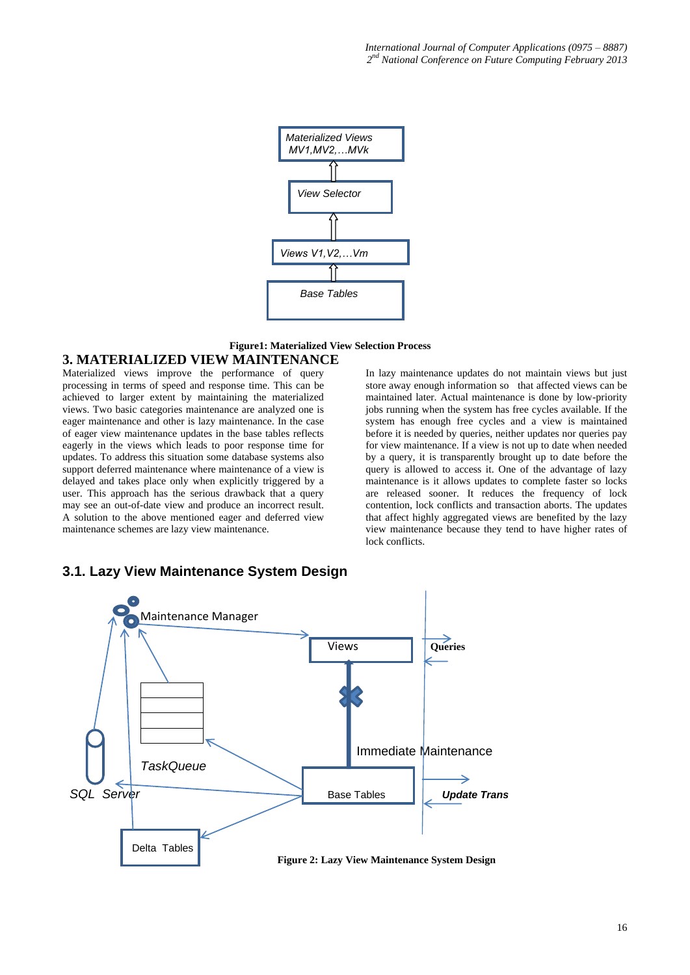

## **Figure1: Materialized View Selection Process**

#### **3. MATERIALIZED VIEW MAINTENANCE**

Materialized views improve the performance of query processing in terms of speed and response time. This can be achieved to larger extent by maintaining the materialized views. Two basic categories maintenance are analyzed one is eager maintenance and other is lazy maintenance. In the case of eager view maintenance updates in the base tables reflects eagerly in the views which leads to poor response time for updates. To address this situation some database systems also support deferred maintenance where maintenance of a view is delayed and takes place only when explicitly triggered by a user. This approach has the serious drawback that a query may see an out-of-date view and produce an incorrect result. A solution to the above mentioned eager and deferred view maintenance schemes are lazy view maintenance.

In lazy maintenance updates do not maintain views but just store away enough information so that affected views can be maintained later. Actual maintenance is done by low-priority jobs running when the system has free cycles available. If the system has enough free cycles and a view is maintained before it is needed by queries, neither updates nor queries pay for view maintenance. If a view is not up to date when needed by a query, it is transparently brought up to date before the query is allowed to access it. One of the advantage of lazy maintenance is it allows updates to complete faster so locks are released sooner. It reduces the frequency of lock contention, lock conflicts and transaction aborts. The updates that affect highly aggregated views are benefited by the lazy view maintenance because they tend to have higher rates of lock conflicts.



#### **3.1. Lazy View Maintenance System Design**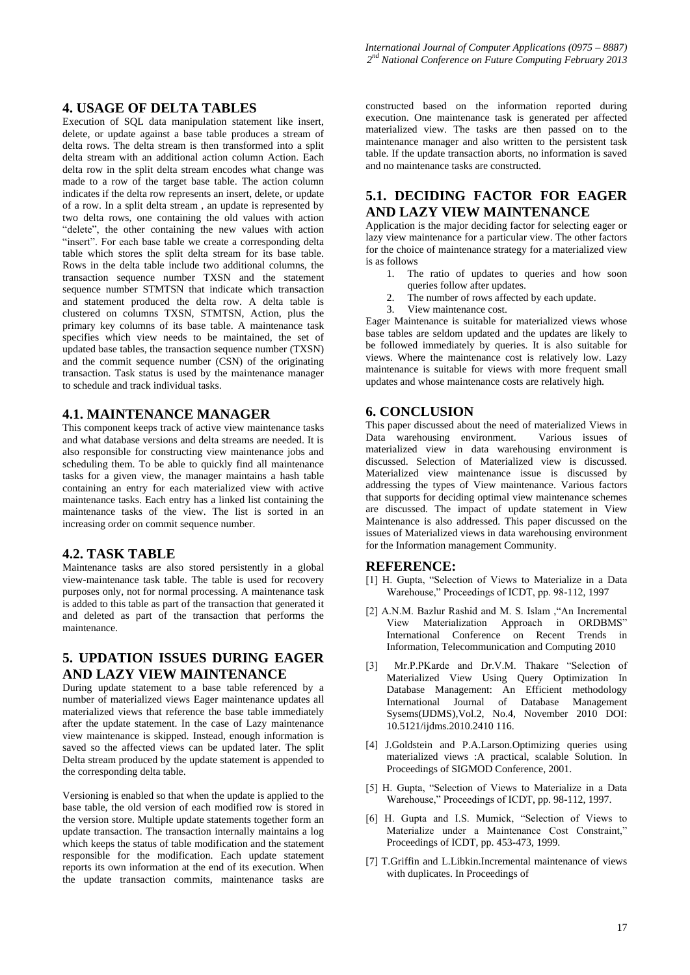## **4. USAGE OF DELTA TABLES**

Execution of SQL data manipulation statement like insert, delete, or update against a base table produces a stream of delta rows. The delta stream is then transformed into a split delta stream with an additional action column Action. Each delta row in the split delta stream encodes what change was made to a row of the target base table. The action column indicates if the delta row represents an insert, delete, or update of a row. In a split delta stream , an update is represented by two delta rows, one containing the old values with action "delete", the other containing the new values with action "insert". For each base table we create a corresponding delta table which stores the split delta stream for its base table. Rows in the delta table include two additional columns, the transaction sequence number TXSN and the statement sequence number STMTSN that indicate which transaction and statement produced the delta row. A delta table is clustered on columns TXSN, STMTSN, Action, plus the primary key columns of its base table. A maintenance task specifies which view needs to be maintained, the set of updated base tables, the transaction sequence number (TXSN) and the commit sequence number (CSN) of the originating transaction. Task status is used by the maintenance manager to schedule and track individual tasks.

### **4.1. MAINTENANCE MANAGER**

This component keeps track of active view maintenance tasks and what database versions and delta streams are needed. It is also responsible for constructing view maintenance jobs and scheduling them. To be able to quickly find all maintenance tasks for a given view, the manager maintains a hash table containing an entry for each materialized view with active maintenance tasks. Each entry has a linked list containing the maintenance tasks of the view. The list is sorted in an increasing order on commit sequence number.

#### **4.2. TASK TABLE**

Maintenance tasks are also stored persistently in a global view-maintenance task table. The table is used for recovery purposes only, not for normal processing. A maintenance task is added to this table as part of the transaction that generated it and deleted as part of the transaction that performs the maintenance.

# **5. UPDATION ISSUES DURING EAGER AND LAZY VIEW MAINTENANCE**

During update statement to a base table referenced by a number of materialized views Eager maintenance updates all materialized views that reference the base table immediately after the update statement. In the case of Lazy maintenance view maintenance is skipped. Instead, enough information is saved so the affected views can be updated later. The split Delta stream produced by the update statement is appended to the corresponding delta table.

Versioning is enabled so that when the update is applied to the base table, the old version of each modified row is stored in the version store. Multiple update statements together form an update transaction. The transaction internally maintains a log which keeps the status of table modification and the statement responsible for the modification. Each update statement reports its own information at the end of its execution. When the update transaction commits, maintenance tasks are

constructed based on the information reported during execution. One maintenance task is generated per affected materialized view. The tasks are then passed on to the maintenance manager and also written to the persistent task table. If the update transaction aborts, no information is saved and no maintenance tasks are constructed.

## **5.1. DECIDING FACTOR FOR EAGER AND LAZY VIEW MAINTENANCE**

Application is the major deciding factor for selecting eager or lazy view maintenance for a particular view. The other factors for the choice of maintenance strategy for a materialized view is as follows

- 1. The ratio of updates to queries and how soon queries follow after updates.
- 2. The number of rows affected by each update.<br>3. View maintenance cost
- View maintenance cost.

Eager Maintenance is suitable for materialized views whose base tables are seldom updated and the updates are likely to be followed immediately by queries. It is also suitable for views. Where the maintenance cost is relatively low. Lazy maintenance is suitable for views with more frequent small updates and whose maintenance costs are relatively high.

### **6. CONCLUSION**

This paper discussed about the need of materialized Views in Data warehousing environment. Various issues of materialized view in data warehousing environment is discussed. Selection of Materialized view is discussed. Materialized view maintenance issue is discussed by addressing the types of View maintenance. Various factors that supports for deciding optimal view maintenance schemes are discussed. The impact of update statement in View Maintenance is also addressed. This paper discussed on the issues of Materialized views in data warehousing environment for the Information management Community.

#### **REFERENCE:**

- [1] H. Gupta, "Selection of Views to Materialize in a Data Warehouse," Proceedings of ICDT, pp. 98-112, 1997
- [2] A.N.M. Bazlur Rashid and M. S. Islam ,"An Incremental View Materialization Approach in ORDBMS" International Conference on Recent Trends in Information, Telecommunication and Computing 2010
- [3] Mr.P.PKarde and Dr.V.M. Thakare "Selection of Materialized View Using Query Optimization In Database Management: An Efficient methodology<br>International Journal of Database Management International Journal of Database Sysems(IJDMS),Vol.2, No.4, November 2010 DOI: 10.5121/ijdms.2010.2410 116.
- [4] J.Goldstein and P.A.Larson.Optimizing queries using materialized views :A practical, scalable Solution. In Proceedings of SIGMOD Conference, 2001.
- [5] H. Gupta, "Selection of Views to Materialize in a Data Warehouse," Proceedings of ICDT, pp. 98-112, 1997.
- [6] H. Gupta and I.S. Mumick, "Selection of Views to Materialize under a Maintenance Cost Constraint," Proceedings of ICDT, pp. 453-473, 1999.
- [7] T.Griffin and L.Libkin.Incremental maintenance of views with duplicates. In Proceedings of